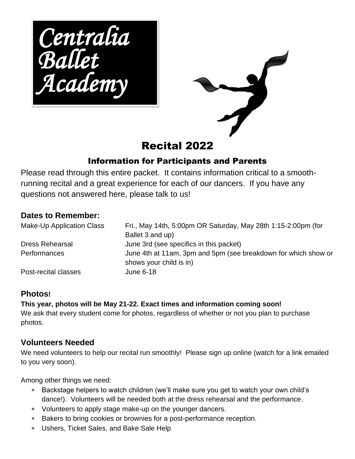*Centralia Ballet Academy* 



# Recital 2022

#### Information for Participants and Parents

Please read through this entire packet. It contains information critical to a smoothrunning recital and a great experience for each of our dancers. If you have any questions not answered here, please talk to us!

#### **Dates to Remember:**

| Make-Up Application Class | Fri., May 14th, 5:00pm OR Saturday, May 28th 1:15-2:00pm (for<br>Ballet 3 and up)         |
|---------------------------|-------------------------------------------------------------------------------------------|
| <b>Dress Rehearsal</b>    | June 3rd (see specifics in this packet)                                                   |
| <b>Performances</b>       | June 4th at 11am, 3pm and 5pm (see breakdown for which show or<br>shows your child is in) |
| Post-recital classes      | June 6-18                                                                                 |

#### **Photos!**

**This year, photos will be May 21-22. Exact times and information coming soon!**  We ask that every student come for photos, regardless of whether or not you plan to purchase photos.

#### **Volunteers Needed**

We need volunteers to help our recital run smoothly! Please sign up online (watch for a link emailed to you very soon).

Among other things we need:

- Backstage helpers to watch children (we'll make sure you get to watch your own child's dance!). Volunteers will be needed both at the dress rehearsal and the performance.
- Volunteers to apply stage make-up on the younger dancers.
- Bakers to bring cookies or brownies for a post-performance reception.
- Ushers, Ticket Sales, and Bake Sale Help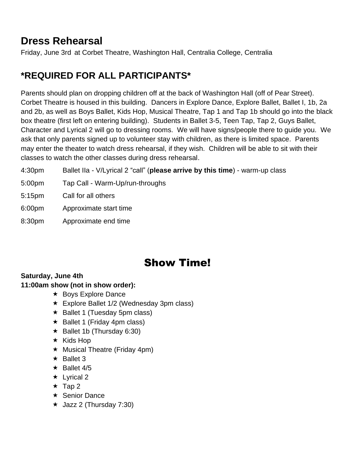# **Dress Rehearsal**

Friday, June 3rd at Corbet Theatre, Washington Hall, Centralia College, Centralia

## **\*REQUIRED FOR ALL PARTICIPANTS\***

Parents should plan on dropping children off at the back of Washington Hall (off of Pear Street). Corbet Theatre is housed in this building. Dancers in Explore Dance, Explore Ballet, Ballet I, 1b, 2a and 2b, as well as Boys Ballet, Kids Hop, Musical Theatre, Tap 1 and Tap 1b should go into the black box theatre (first left on entering building). Students in Ballet 3-5, Teen Tap, Tap 2, Guys Ballet, Character and Lyrical 2 will go to dressing rooms. We will have signs/people there to guide you. We ask that only parents signed up to volunteer stay with children, as there is limited space. Parents may enter the theater to watch dress rehearsal, if they wish. Children will be able to sit with their classes to watch the other classes during dress rehearsal.

- 4:30pm Ballet IIa V/Lyrical 2 "call" (**please arrive by this time**) warm-up class
- 5:00pm Tap Call Warm-Up/run-throughs
- 5:15pm Call for all others
- 6:00pm Approximate start time
- 8:30pm Approximate end time

# Show Time!

#### **Saturday, June 4th**

#### **11:00am show (not in show order):**

- $\star$  Boys Explore Dance
- $\star$  Explore Ballet 1/2 (Wednesday 3pm class)
- $\star$  Ballet 1 (Tuesday 5pm class)
- $\star$  Ballet 1 (Friday 4pm class)
- $\star$  Ballet 1b (Thursday 6:30)
- $\star$  Kids Hop
- $\star$  Musical Theatre (Friday 4pm)
- $\star$  Ballet 3
- $\star$  Ballet 4/5
- $\star$  Lyrical 2
- $\star$  Tap 2
- $\star$  Senior Dance
- $\star$  Jazz 2 (Thursday 7:30)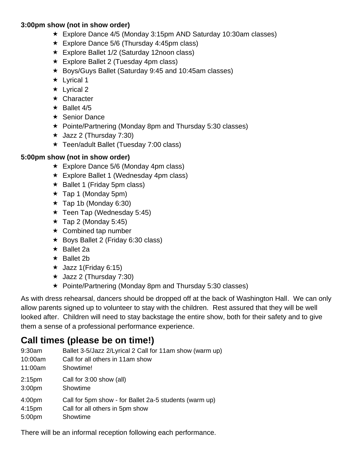#### **3:00pm show (not in show order)**

- Explore Dance 4/5 (Monday 3:15pm AND Saturday 10:30am classes)
- $\star$  Explore Dance 5/6 (Thursday 4:45pm class)
- Explore Ballet 1/2 (Saturday 12noon class)
- $\star$  Explore Ballet 2 (Tuesday 4pm class)
- Boys/Guys Ballet (Saturday 9:45 and 10:45am classes)
- $\star$  Lyrical 1
- $\star$  Lyrical 2
- **★ Character**
- $\star$  Ballet 4/5
- $\star$  Senior Dance
- Pointe/Partnering (Monday 8pm and Thursday 5:30 classes)
- $\star$  Jazz 2 (Thursday 7:30)
- Teen/adult Ballet (Tuesday 7:00 class)

#### **5:00pm show (not in show order)**

- Explore Dance 5/6 (Monday 4pm class)
- Explore Ballet 1 (Wednesday 4pm class)
- $\star$  Ballet 1 (Friday 5pm class)
- $\star$  Tap 1 (Monday 5pm)
- $\star$  Tap 1b (Monday 6:30)
- $\star$  Teen Tap (Wednesday 5:45)
- $\star$  Tap 2 (Monday 5:45)
- $\star$  Combined tap number
- $\star$  Boys Ballet 2 (Friday 6:30 class)
- $\star$  Ballet 2a
- $\star$  Ballet 2b
- $\star$  Jazz 1(Friday 6:15)
- $\star$  Jazz 2 (Thursday 7:30)
- Pointe/Partnering (Monday 8pm and Thursday 5:30 classes)

As with dress rehearsal, dancers should be dropped off at the back of Washington Hall. We can only allow parents signed up to volunteer to stay with the children. Rest assured that they will be well looked after. Children will need to stay backstage the entire show, both for their safety and to give them a sense of a professional performance experience.

## **Call times (please be on time!)**

- 9:30am Ballet 3-5/Jazz 2/Lyrical 2 Call for 11am show (warm up)
- 10:00am Call for all others in 11am show
- 11:00am Showtime!
- 2:15pm Call for 3:00 show (all)
- 3:00pm Showtime
- 4:00pm Call for 5pm show for Ballet 2a-5 students (warm up)
- 4:15pm Call for all others in 5pm show
- 5:00pm Showtime

There will be an informal reception following each performance.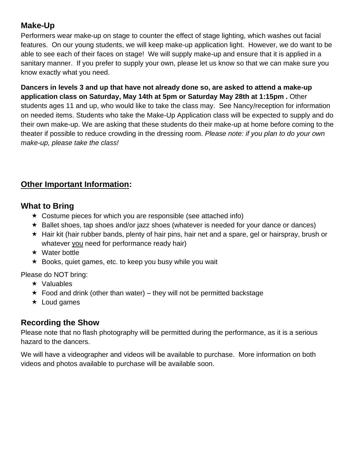#### **Make-Up**

Performers wear make-up on stage to counter the effect of stage lighting, which washes out facial features. On our young students, we will keep make-up application light. However, we do want to be able to see each of their faces on stage! We will supply make-up and ensure that it is applied in a sanitary manner. If you prefer to supply your own, please let us know so that we can make sure you know exactly what you need.

**Dancers in levels 3 and up that have not already done so, are asked to attend a make-up application class on Saturday, May 14th at 5pm or Saturday May 28th at 1:15pm .** Other students ages 11 and up, who would like to take the class may. See Nancy/reception for information on needed items. Students who take the Make-Up Application class will be expected to supply and do their own make-up. We are asking that these students do their make-up at home before coming to the theater if possible to reduce crowding in the dressing room. *Please note: if you plan to do your own make-up, please take the class!*

#### **Other Important Information:**

#### **What to Bring**

- $\star$  Costume pieces for which you are responsible (see attached info)
- $\star$  Ballet shoes, tap shoes and/or jazz shoes (whatever is needed for your dance or dances)
- $\star$  Hair kit (hair rubber bands, plenty of hair pins, hair net and a spare, gel or hairspray, brush or whatever you need for performance ready hair)
- $\star$  Water bottle
- $\star$  Books, quiet games, etc. to keep you busy while you wait

Please do NOT bring:

- $\star$  Valuables
- $\star$  Food and drink (other than water) they will not be permitted backstage
- $\star$  Loud games

#### **Recording the Show**

Please note that no flash photography will be permitted during the performance, as it is a serious hazard to the dancers.

We will have a videographer and videos will be available to purchase. More information on both videos and photos available to purchase will be available soon.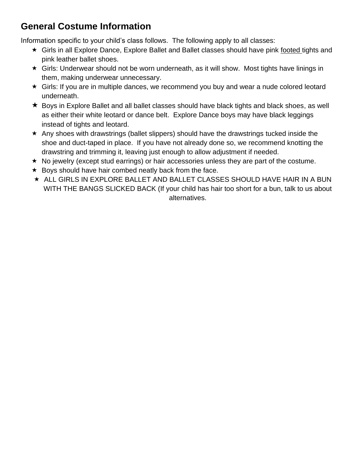# **General Costume Information**

Information specific to your child's class follows. The following apply to all classes:

- Girls in all Explore Dance, Explore Ballet and Ballet classes should have pink footed tights and pink leather ballet shoes.
- Girls: Underwear should not be worn underneath, as it will show. Most tights have linings in them, making underwear unnecessary.
- Girls: If you are in multiple dances, we recommend you buy and wear a nude colored leotard underneath.
- Boys in Explore Ballet and all ballet classes should have black tights and black shoes, as well as either their white leotard or dance belt. Explore Dance boys may have black leggings instead of tights and leotard.
- \* Any shoes with drawstrings (ballet slippers) should have the drawstrings tucked inside the shoe and duct-taped in place. If you have not already done so, we recommend knotting the drawstring and trimming it, leaving just enough to allow adjustment if needed.
- $\star$  No jewelry (except stud earrings) or hair accessories unless they are part of the costume.
- $\star$  Boys should have hair combed neatly back from the face.
- $\star$  ALL GIRLS IN EXPLORE BALLET AND BALLET CLASSES SHOULD HAVE HAIR IN A BUN WITH THE BANGS SLICKED BACK (If your child has hair too short for a bun, talk to us about alternatives.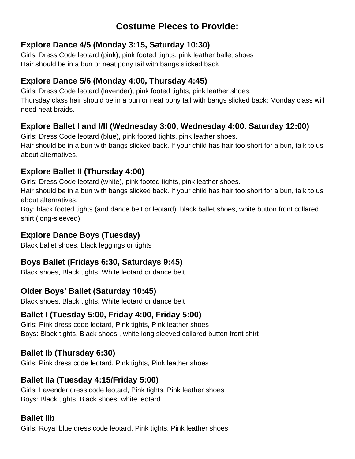# **Costume Pieces to Provide:**

#### **Explore Dance 4/5 (Monday 3:15, Saturday 10:30)**

Girls: Dress Code leotard (pink), pink footed tights, pink leather ballet shoes Hair should be in a bun or neat pony tail with bangs slicked back

#### **Explore Dance 5/6 (Monday 4:00, Thursday 4:45)**

Girls: Dress Code leotard (lavender), pink footed tights, pink leather shoes. Thursday class hair should be in a bun or neat pony tail with bangs slicked back; Monday class will need neat braids.

#### **Explore Ballet I and I/II (Wednesday 3:00, Wednesday 4:00. Saturday 12:00)**

Girls: Dress Code leotard (blue), pink footed tights, pink leather shoes. Hair should be in a bun with bangs slicked back. If your child has hair too short for a bun, talk to us about alternatives.

#### **Explore Ballet II (Thursday 4:00)**

Girls: Dress Code leotard (white), pink footed tights, pink leather shoes.

Hair should be in a bun with bangs slicked back. If your child has hair too short for a bun, talk to us about alternatives.

Boy: black footed tights (and dance belt or leotard), black ballet shoes, white button front collared shirt (long-sleeved)

### **Explore Dance Boys (Tuesday)**

Black ballet shoes, black leggings or tights

#### **Boys Ballet (Fridays 6:30, Saturdays 9:45)**

Black shoes, Black tights, White leotard or dance belt

### **Older Boys' Ballet (Saturday 10:45)**

Black shoes, Black tights, White leotard or dance belt

### **Ballet I (Tuesday 5:00, Friday 4:00, Friday 5:00)**

Girls: Pink dress code leotard, Pink tights, Pink leather shoes Boys: Black tights, Black shoes , white long sleeved collared button front shirt

### **Ballet Ib (Thursday 6:30)**

Girls: Pink dress code leotard, Pink tights, Pink leather shoes

### **Ballet IIa (Tuesday 4:15/Friday 5:00)**

Girls: Lavender dress code leotard, Pink tights, Pink leather shoes Boys: Black tights, Black shoes, white leotard

#### **Ballet IIb**

Girls: Royal blue dress code leotard, Pink tights, Pink leather shoes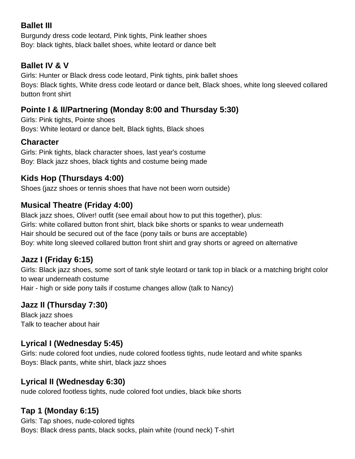#### **Ballet III**

Burgundy dress code leotard, Pink tights, Pink leather shoes Boy: black tights, black ballet shoes, white leotard or dance belt

#### **Ballet IV & V**

Girls: Hunter or Black dress code leotard, Pink tights, pink ballet shoes Boys: Black tights, White dress code leotard or dance belt, Black shoes, white long sleeved collared button front shirt

#### **Pointe I & II/Partnering (Monday 8:00 and Thursday 5:30)**

Girls: Pink tights, Pointe shoes Boys: White leotard or dance belt, Black tights, Black shoes

#### **Character**

Girls: Pink tights, black character shoes, last year's costume Boy: Black jazz shoes, black tights and costume being made

#### **Kids Hop (Thursdays 4:00)**

Shoes (jazz shoes or tennis shoes that have not been worn outside)

#### **Musical Theatre (Friday 4:00)**

Black jazz shoes, Oliver! outfit (see email about how to put this together), plus: Girls: white collared button front shirt, black bike shorts or spanks to wear underneath Hair should be secured out of the face (pony tails or buns are acceptable) Boy: white long sleeved collared button front shirt and gray shorts or agreed on alternative

#### **Jazz I (Friday 6:15)**

Girls: Black jazz shoes, some sort of tank style leotard or tank top in black or a matching bright color to wear underneath costume Hair - high or side pony tails if costume changes allow (talk to Nancy)

#### **Jazz II (Thursday 7:30)**

Black jazz shoes Talk to teacher about hair

#### **Lyrical I (Wednesday 5:45)**

Girls: nude colored foot undies, nude colored footless tights, nude leotard and white spanks Boys: Black pants, white shirt, black jazz shoes

#### **Lyrical II (Wednesday 6:30)**

nude colored footless tights, nude colored foot undies, black bike shorts

#### **Tap 1 (Monday 6:15)**

Girls: Tap shoes, nude-colored tights Boys: Black dress pants, black socks, plain white (round neck) T-shirt